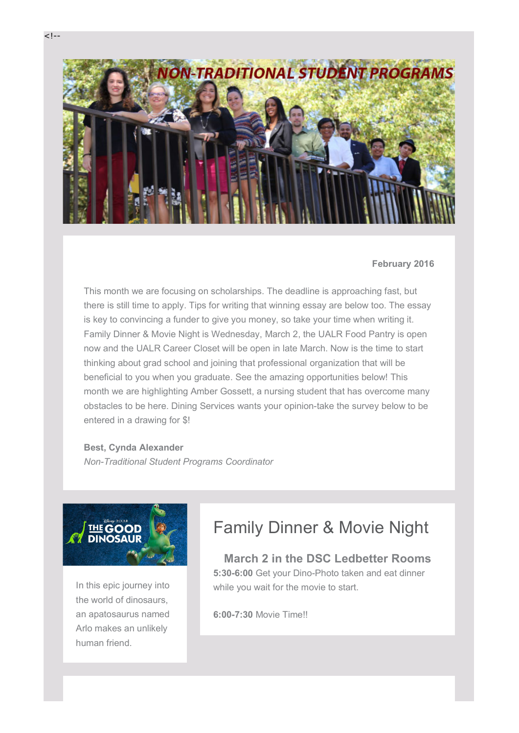

#### **February 2016**

This month we are focusing on scholarships. The deadline is approaching fast, but there is still time to apply. Tips for writing that winning essay are below too. The essay is key to convincing a funder to give you money, so take your time when writing it. Family Dinner & Movie Night is Wednesday, March 2, the UALR Food Pantry is open now and the UALR Career Closet will be open in late March. Now is the time to start thinking about grad school and joining that professional organization that will be beneficial to you when you graduate. See the amazing opportunities below! This month we are highlighting Amber Gossett, a nursing student that has overcome many obstacles to be here. Dining Services wants your opinion-take the survey below to be entered in a drawing for \$!

#### **Best, Cynda Alexander**

*Non-Traditional Student Programs Coordinator*



In this epic journey into the world of dinosaurs, an apatosaurus named Arlo makes an unlikely human friend.

## Family Dinner & Movie Night

**March 2 in the DSC Ledbetter Rooms 5:30-6:00** Get your Dino-Photo taken and eat dinner while you wait for the movie to start.

**6:00-7:30** Movie Time!!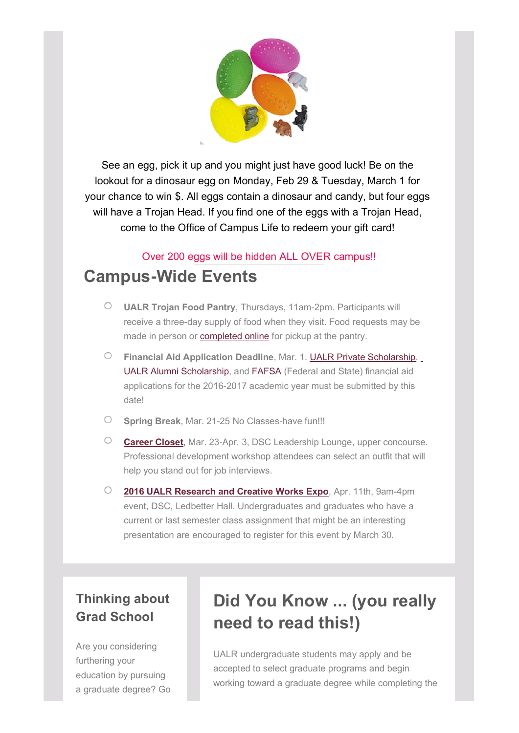

See an egg, pick it up and you might just have good luck! Be on the lookout for a dinosaur egg on Monday, Feb 29 & Tuesday, March 1 for your chance to win \$. All eggs contain a dinosaur and candy, but four eggs will have a Trojan Head. If you find one of the eggs with a Trojan Head, come to the Office of Campus Life to redeem your gift card!

## Over 200 eggs will be hidden ALL OVER campus!! **Campus-Wide Events**

- $\circ$ **UALR Trojan Food Pantry**, Thursdays, 11am-2pm. Participants will receive a three-day supply of food when they visit. Food requests may be made in person or **completed online** for pickup at the pantry.
- $\circ$ **Financial Aid Application Deadline**, Mar. 1. UALR Private Scholarship, UALR Alumni Scholarship, and FAFSA (Federal and State) financial aid applications for the 2016-2017 academic year must be submitted by this date!
- $\circ$ **Spring Break**, Mar. 21-25 No Classes-have fun!!!
- $\circlearrowright$ **Career Closet,** Mar. 23-Apr. 3, DSC Leadership Lounge, upper concourse. Professional development workshop attendees can select an outfit that will help you stand out for job interviews.
- $\circ$ **2016 UALR Research and Creative Works Expo**, Apr. 11th, 9am-4pm event, DSC, Ledbetter Hall. Undergraduates and graduates who have a current or last semester class assignment that might be an interesting presentation are encouraged to register for this event by March 30.

## **Thinking about Grad School**

Are you considering furthering your education by pursuing a graduate degree? Go

# **Did You Know ... (you really need to read this!)**

UALR undergraduate students may apply and be accepted to select graduate programs and begin working toward a graduate degree while completing the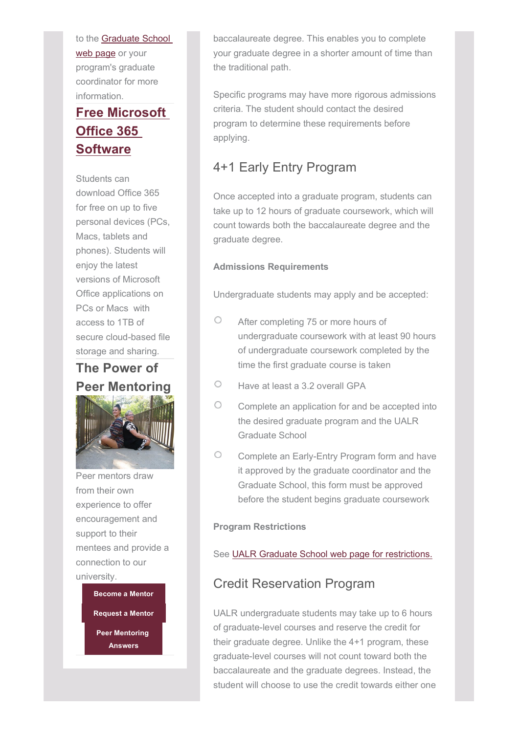to the Graduate School web page or your program's graduate coordinator for more information.

## **Free Microsoft Office 365 Software**

Students can download Office 365 for free on up to five personal devices (PCs, Macs, tablets and phones). Students will enjoy the latest versions of Microsoft Office applications on PCs or Macs with access to 1TB of secure cloud-based file storage and sharing.

## **The Power of Peer Mentoring**



Peer mentors draw from their own experience to offer encouragement and support to their mentees and provide a connection to our university.

> **Become a Mentor Request a Mentor Peer Mentoring Answers**

baccalaureate degree. This enables you to complete your graduate degree in a shorter amount of time than the traditional path.

Specific programs may have more rigorous admissions criteria. The student should contact the desired program to determine these requirements before applying.

## 4+1 Early Entry Program

Once accepted into a graduate program, students can take up to 12 hours of graduate coursework, which will count towards both the baccalaureate degree and the graduate degree.

### **Admissions Requirements**

Undergraduate students may apply and be accepted:

- $\bigcirc$ After completing 75 or more hours of undergraduate coursework with at least 90 hours of undergraduate coursework completed by the time the first graduate course is taken
- O Have at least a 3.2 overall GPA
- O Complete an application for and be accepted into the desired graduate program and the UALR Graduate School
- O Complete an Early-Entry Program form and have it approved by the graduate coordinator and the Graduate School, this form must be approved before the student begins graduate coursework

### **Program Restrictions**

### See UALR Graduate School web page for restrictions.

### Credit Reservation Program

UALR undergraduate students may take up to 6 hours of graduate-level courses and reserve the credit for their graduate degree. Unlike the 4+1 program, these graduate-level courses will not count toward both the baccalaureate and the graduate degrees. Instead, the student will choose to use the credit towards either one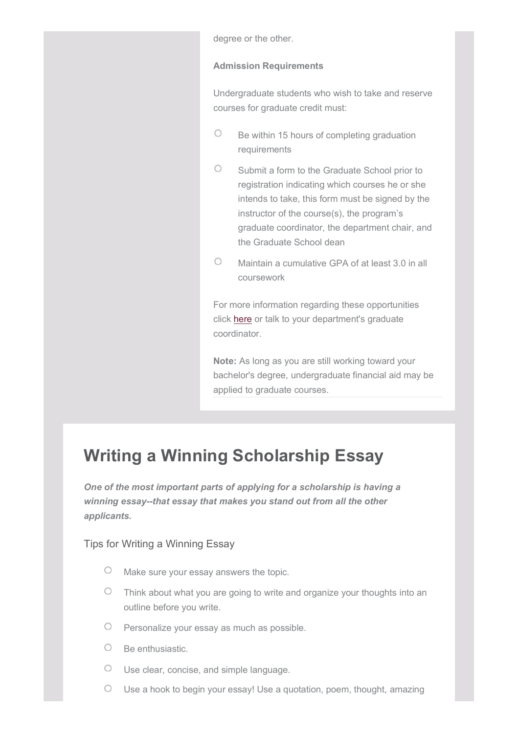degree or the other.

#### **Admission Requirements**

Undergraduate students who wish to take and reserve courses for graduate credit must:

- $\circ$ Be within 15 hours of completing graduation requirements
- $\circ$ Submit a form to the Graduate School prior to registration indicating which courses he or she intends to take, this form must be signed by the instructor of the course(s), the program's graduate coordinator, the department chair, and the Graduate School dean
- $\bigcirc$ Maintain a cumulative GPA of at least 3.0 in all coursework

For more information regarding these opportunities click here or talk to your department's graduate coordinator.

**Note:** As long as you are still working toward your bachelor's degree, undergraduate financial aid may be applied to graduate courses.

# **Writing a Winning Scholarship Essay**

*One of the most important parts of applying for a scholarship is having a winning essay--that essay that makes you stand out from all the other applicants.*

### Tips for Writing a Winning Essay

- $\circ$ Make sure your essay answers the topic.
- $\circ$  Think about what you are going to write and organize your thoughts into an outline before you write.
- $\circ$  Personalize your essay as much as possible.
- $O$  Be enthusiastic.
- Use clear, concise, and simple language.
- Use a hook to begin your essay! Use a quotation, poem, thought, amazing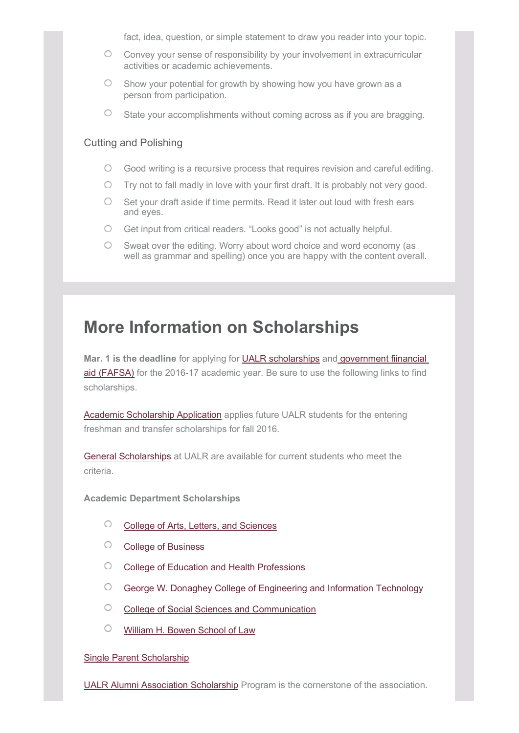fact, idea, question, or simple statement to draw you reader into your topic.

- Convey your sense of responsibility by your involvement in extracurricular activities or academic achievements.
- $\circ$ Show your potential for growth by showing how you have grown as a person from participation.
- $\circ$ State your accomplishments without coming across as if you are bragging.

### Cutting and Polishing

- $\circ$ Good writing is a recursive process that requires revision and careful editing.
- Try not to fall madly in love with your first draft. It is probably not very good.
- $\circ$ Set your draft aside if time permits. Read it later out loud with fresh ears and eyes.
- $\circ$ Get input from critical readers. "Looks good" is not actually helpful.
- O. Sweat over the editing. Worry about word choice and word economy (as well as grammar and spelling) once you are happy with the content overall.

# **More Information on Scholarships**

**Mar. 1 is the deadline** for applying for UALR scholarships and government fiinancial aid (FAFSA) for the 2016-17 academic year. Be sure to use the following links to find scholarships.

Academic Scholarship Application applies future UALR students for the entering freshman and transfer scholarships for fall 2016.

General Scholarships at UALR are available for current students who meet the criteria.

**Academic Department Scholarships**

- $\circ$ College of Arts, Letters, and Sciences
- $\circ$ College of Business
- $\circ$ College of Education and Health Professions
- O George W. Donaghey College of Engineering and Information Technology
- O College of Social Sciences and Communication
- O William H. Bowen School of Law

#### Single Parent Scholarship

UALR Alumni Association Scholarship Program is the cornerstone of the association.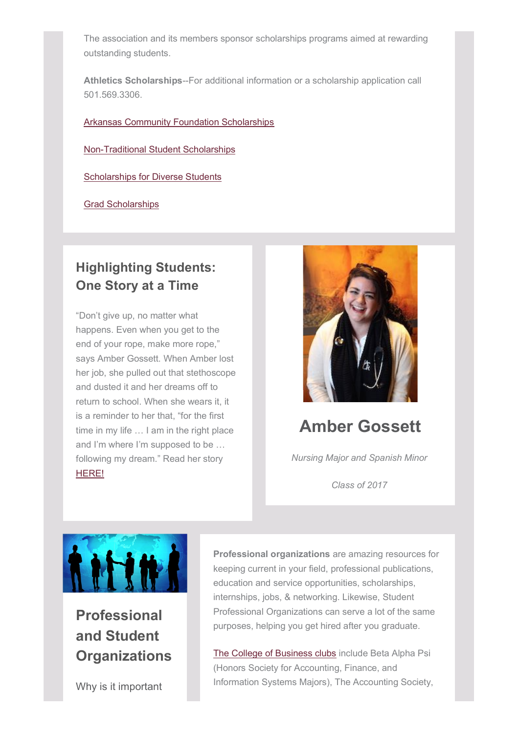The association and its members sponsor scholarships programs aimed at rewarding outstanding students.

**Athletics Scholarships**--For additional information or a scholarship application call 501.569.3306.

Arkansas Community Foundation Scholarships

Non-Traditional Student Scholarships

Scholarships for Diverse Students

Grad Scholarships

## **Highlighting Students: One Story at a Time**

"Don't give up, no matter what happens. Even when you get to the end of your rope, make more rope," says Amber Gossett. When Amber lost her job, she pulled out that stethoscope and dusted it and her dreams off to return to school. When she wears it, it is a reminder to her that, "for the first time in my life … I am in the right place and I'm where I'm supposed to be … following my dream." Read her story HERE!



# **Amber Gossett**

*Nursing Major and Spanish Minor*

*Class of 2017*



**Professional and Student Organizations**

Why is it important

**Professional organizations** are amazing resources for keeping current in your field, professional publications, education and service opportunities, scholarships, internships, jobs, & networking. Likewise, Student Professional Organizations can serve a lot of the same purposes, helping you get hired after you graduate.

The College of Business clubs include Beta Alpha Psi (Honors Society for Accounting, Finance, and Information Systems Majors), The Accounting Society,